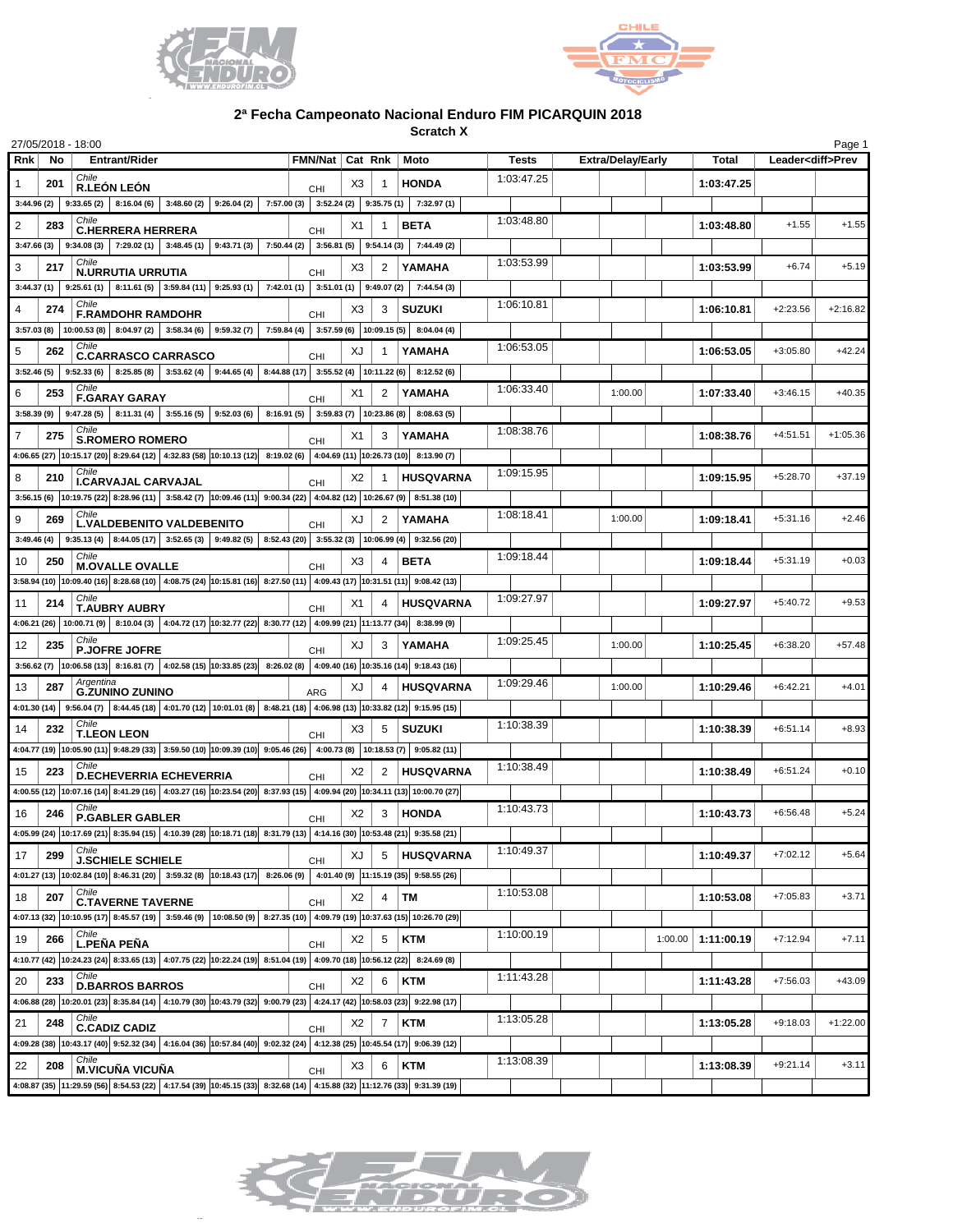



**Scratch X**

| 27/05/2018 - 18:00    |                                                                                                                                                                   |                          |    |             |                  |            |                          |                       |            | Page 1                   |
|-----------------------|-------------------------------------------------------------------------------------------------------------------------------------------------------------------|--------------------------|----|-------------|------------------|------------|--------------------------|-----------------------|------------|--------------------------|
| <b>Rnk</b><br>No      | <b>Entrant/Rider</b>                                                                                                                                              | FMN/Nat   Cat Rnk   Moto |    |             |                  | Tests      | <b>Extra/Delay/Early</b> | <b>Total</b>          |            | Leader <diff>Prev</diff> |
| 201                   | Chile<br><b>R.LEÓN LEÓN</b>                                                                                                                                       | <b>CHI</b>               | X3 |             | <b>HONDA</b>     | 1:03:47.25 |                          | 1:03:47.25            |            |                          |
|                       | $3:44.96(2)$ 9:33.65(2)<br>8:16.04 (6) 3:48.60 (2) 3:26.04 (2) 7:57.00 (3) 3:52.24 (2) 3:35.75 (1) 7:32.97 (1)                                                    |                          |    |             |                  |            |                          |                       |            |                          |
| 2<br>283              | Chile<br><b>C.HERRERA HERRERA</b>                                                                                                                                 | CHI                      | X1 |             | <b>BETA</b>      | 1:03:48.80 |                          | 1:03:48.80            | $+1.55$    | $+1.55$                  |
|                       | $3:47.66(3)$ 9:34.08(3)<br>7:29.02 (1) 3:48.45 (1) 9:43.71 (3) 7:50.44 (2) 3:56.81 (5) 9:54.14 (3) 7:44.49 (2)                                                    |                          |    |             |                  |            |                          |                       |            |                          |
| 3<br>217              | Chile<br><b>N.URRUTIA URRUTIA</b>                                                                                                                                 |                          | X3 | 2           | YAMAHA           | 1:03:53.99 |                          | 1:03:53.99            | $+6.74$    | $+5.19$                  |
|                       | $3:44.37(1)$ 9:25.61(1)<br>8:11.61 (5) 3:59.84 (11) 9:25.93 (1) 7:42.01 (1) 3:51.01 (1) 9:49.07 (2) 7:44.54 (3)                                                   | CHI                      |    |             |                  |            |                          |                       |            |                          |
| 4<br>274              | Chile                                                                                                                                                             |                          | X3 | 3           | <b>SUZUKI</b>    | 1:06:10.81 |                          | 1:06:10.81            | $+2:23.56$ | $+2:16.82$               |
|                       | <b>F.RAMDOHR RAMDOHR</b><br>3:57.03 (8) $ 10:00.53$ (8) $ 8:04.97$ (2) $ 3:58.34$ (6) $ 9:59.32$ (7) $ 7:59.84$ (4) $ 3:57.59$ (6) $ 10:09.15$ (5) $ 8:04.04$ (4) | CHI                      |    |             |                  |            |                          |                       |            |                          |
| 5<br>262              | Chile                                                                                                                                                             |                          | XJ |             | YAMAHA           | 1:06:53.05 |                          | 1:06:53.05            | $+3:05.80$ | $+42.24$                 |
|                       | <b>C.CARRASCO CARRASCO</b><br>$3:52.46(5)$ 9:52.33(6)<br>8:25.85 (8) 3:53.62 (4) 9:44.65 (4) 8:44.88 (17) 3:55.52 (4) 10:11.22 (6)                                | <b>CHI</b>               |    |             | 8:12.52(6)       |            |                          |                       |            |                          |
|                       | Chile                                                                                                                                                             |                          |    |             |                  | 1:06:33.40 | 1:00.00                  |                       | $+3:46.15$ | $+40.35$                 |
| 6<br>253              | <b>F.GARAY GARAY</b>                                                                                                                                              | CHI                      | X1 | 2           | YAMAHA           |            |                          | 1:07:33.40            |            |                          |
|                       | $3:58.39(9)$ 9:47.28(5)<br>8:11.31 (4) 3:55.16 (5) 9:52.03 (6) 8:16.91 (5) 3:59.83 (7) 10:23.86 (8)<br>Chile                                                      |                          |    |             | 8:08.63(5)       | 1:08:38.76 |                          |                       |            |                          |
| $\overline{7}$<br>275 | <b>S.ROMERO ROMERO</b>                                                                                                                                            | CHI                      | X1 | 3           | YAMAHA           |            |                          | 1:08:38.76            | $+4:51.51$ | $+1:05.36$               |
|                       | 4:06.65 (27) 10:15.17 (20) 8:29.64 (12) 4:32.83 (58) 10:10.13 (12) 8:19.02 (6) 4:04.69 (11) 10:26.73 (10) 8:13.90 (7)<br>Chile                                    |                          |    |             |                  | 1:09:15.95 |                          |                       |            |                          |
| 8<br>210              | <b>I.CARVAJAL CARVAJAL</b>                                                                                                                                        | CHI                      | X2 |             | <b>HUSQVARNA</b> |            |                          | 1:09:15.95            | $+5:28.70$ | $+37.19$                 |
|                       | 3:56.15 (6) $ 10:19.75(22) $ 8:28.96 (11) 3:58.42 (7) $ 10:09.46(11) $ 9:00.34 (22) 4:04.82 (12) 10:26.67 (9) 8:51.38 (10)                                        |                          |    |             |                  |            |                          |                       |            |                          |
| 9<br>269              | Chile<br><b>L.VALDEBENITO VALDEBENITO</b>                                                                                                                         | <b>CHI</b>               | XJ | 2           | YAMAHA           | 1:08:18.41 | 1:00.00                  | 1:09:18.41            | $+5:31.16$ | $+2.46$                  |
|                       | $3:49.46(4)$ $9:35.13(4)$ $8:44.05(17)$ $3:52.65(3)$ $9:49.82(5)$ $8:52.43(20)$ $3:55.32(3)$ $10:06.99(4)$ $9:32.56(20)$                                          |                          |    |             |                  |            |                          |                       |            |                          |
| 10<br>250             | Chile<br><b>M.OVALLE OVALLE</b>                                                                                                                                   | CHI                      | X3 |             | <b>BETA</b>      | 1:09:18.44 |                          | 1:09:18.44            | $+5:31.19$ | $+0.03$                  |
|                       | 3:58.94 (10) 10:09.40 (16) 8:28.68 (10) 4:08.75 (24) 10:15.81 (16) 8:27.50 (11) 4:09.43 (17) 10:31.51 (11) 9:08.42 (13)                                           |                          |    |             |                  |            |                          |                       |            |                          |
| 11<br>214             | Chile<br><b>T.AUBRY AUBRY</b>                                                                                                                                     | CHI                      | X1 |             | <b>HUSQVARNA</b> | 1:09:27.97 |                          | 1:09:27.97            | $+5:40.72$ | $+9.53$                  |
|                       | 4:06.21 (26) 10:00.71 (9) 8:10.04 (3) 4:04.72 (17) 10:32.77 (22) 8:30.77 (12) 4:09.99 (21) 11:13.77 (34) 8:38.99 (9)                                              |                          |    |             |                  |            |                          |                       |            |                          |
| 12<br>235             | Chile<br><b>P.JOFRE JOFRE</b>                                                                                                                                     | CHI                      | XJ | 3           | YAMAHA           | 1:09:25.45 | 1:00.00                  | 1:10:25.45            | $+6:38.20$ | $+57.48$                 |
|                       | 3:56.62 (7) $ 10:06.58(13) $ 8:16.81 (7) $ 4:02.58(15) 10:33.85(23) $ 8:26.02 (8) $ 4:09.40(16) 10:35.16(14) $ 9:18.43 (16)                                       |                          |    |             |                  |            |                          |                       |            |                          |
| 287<br>13             | Argentina                                                                                                                                                         |                          | XJ |             | <b>HUSQVARNA</b> | 1:09:29.46 | 1:00.00                  | 1:10:29.46            | $+6:42.21$ | $+4.01$                  |
|                       | <b>G.ZUNINO ZUNINO</b><br>4:01.30 (14) 9:56.04 (7) 8:44.45 (18) 4:01.70 (12) 10:01.01 (8) 8:48.21 (18) 4:06.98 (13) 10:33.82 (12) 9:15.95 (15)                    | <b>ARG</b>               |    |             |                  |            |                          |                       |            |                          |
| 14<br>232             | Chile                                                                                                                                                             |                          | X3 | 5           | <b>SUZUKI</b>    | 1:10:38.39 |                          | 1:10:38.39            | $+6:51.14$ | $+8.93$                  |
|                       | <b>T.LEON LEON</b><br>4:04.77 (19) 10:05.90 (11) 9:48.29 (33) 3:59.50 (10) 10:09.39 (10) 9:05.46 (26) 4:00.73 (8) 10:18.53 (7) 9:05.82 (11)                       | CHI                      |    |             |                  |            |                          |                       |            |                          |
| 15<br>223             |                                                                                                                                                                   |                          | X2 | 2           | <b>HUSQVARNA</b> | 1:10:38.49 |                          | 1:10:38.49            | $+6:51.24$ | $+0.10$                  |
|                       | <b>D.ECHEVERRIA ECHEVERRIA</b><br>4:00.55 (12) 10:07.16 (14) 8:41.29 (16) 4:03.27 (16) 10:23.54 (20) 8:37.93 (15) 4:09.94 (20) 10:34.11 (13) 10:00.70 (27)        | CHI                      |    |             |                  |            |                          |                       |            |                          |
|                       | Chile                                                                                                                                                             |                          |    |             |                  | 1:10:43.73 |                          |                       |            |                          |
| 16<br>246             | <b>P.GABLER GABLER</b>                                                                                                                                            | CHI                      | X2 | 3           | <b>HONDA</b>     |            |                          | 1:10:43.73            | $+6:56.48$ | $+5.24$                  |
|                       | 4:05.99 (24) $\Big $ 10:17.69 (21) 8:35.94 (15) 4:10.39 (28) 10:18.71 (18) 8:31.79 (13) 4:14.16 (30) 10:53.48 (21) 9:35.58 (21)<br>Chile                          |                          |    |             |                  |            |                          |                       |            |                          |
| 17<br>299             | <b>J.SCHIELE SCHIELE</b>                                                                                                                                          | CHI                      | XJ | 5           | <b>HUSQVARNA</b> | 1:10:49.37 |                          | 1:10:49.37            | $+7:02.12$ | $+5.64$                  |
|                       | 4:01.27 (13) 10:02.84 (10) 8:46.31 (20) 3:59.32 (8) 10:18.43 (17) 8:26.06 (9) 4:01.40 (9) 11:15.19 (35) 9:58.55 (26)                                              |                          |    |             |                  |            |                          |                       |            |                          |
| 18<br>207             | Chile<br><b>C.TAVERNE TAVERNE</b>                                                                                                                                 | CHI                      | X2 | 4           | <b>TM</b>        | 1:10:53.08 |                          | 1:10:53.08            | $+7:05.83$ | $+3.71$                  |
|                       | 4:07.13 (32) 10:10.95 (17) 8:45.57 (19) 3:59.46 (9) 10:08.50 (9) 8:27.35 (10) 4:09.79 (19) 10:37.63 (15) 10:26.70 (29)                                            |                          |    |             |                  |            |                          |                       |            |                          |
| 19<br>266             | Chile<br><b>L.PEÑA PEÑA</b>                                                                                                                                       | CHI                      | X2 | 5           | <b>KTM</b>       | 1:10:00.19 |                          | 1:00.00<br>1:11:00.19 | $+7:12.94$ | $+7.11$                  |
|                       | 4:10.77 (42) 10:24.23 (24) 8:33.65 (13) 4:07.75 (22) 10:22.24 (19) 8:51.04 (19) 4:09.70 (18) 10:56.12 (22) 8:24.69 (8)                                            |                          |    |             |                  |            |                          |                       |            |                          |
| 20<br>233             | Chile<br><b>D.BARROS BARROS</b>                                                                                                                                   | CHI                      | X2 | 6           | <b>KTM</b>       | 1:11:43.28 |                          | 1:11:43.28            | $+7:56.03$ | $+43.09$                 |
|                       | 4.06.88 (28) 10:20.01 (23) 8:35.84 (14) 4:10.79 (30) 10:43.79 (32) 9:00.79 (23) 4:24.17 (42) 10:58.03 (23) 9:22.98 (17)                                           |                          |    |             |                  |            |                          |                       |            |                          |
| 21<br>248             | Chile<br><b>C.CADIZ CADIZ</b>                                                                                                                                     | CHI                      | X2 | $7^{\circ}$ | <b>KTM</b>       | 1:13:05.28 |                          | 1:13:05.28            | $+9:18.03$ | $+1:22.00$               |
|                       | 4:09.28 (38) 10:43.17 (40) 9:52.32 (34) 4:16.04 (36) 10:57.84 (40) 9:02.32 (24) 4:12.38 (25) 10:45.54 (17) 9:06.39 (12)                                           |                          |    |             |                  |            |                          |                       |            |                          |
| 22<br>208             | Chile                                                                                                                                                             |                          | X3 | 6           | <b>KTM</b>       | 1:13:08.39 |                          | 1:13:08.39            | $+9:21.14$ | $+3.11$                  |
|                       | <b>M.VICUÑA VICUÑA</b><br>4:08.87 (35) 11:29.59 (56) 8:54.53 (22) 4:17.54 (39) 10:45.15 (33) 8:32.68 (14) 4:15.88 (32) 11:12.76 (33) 9:31.39 (19)                 | CHI                      |    |             |                  |            |                          |                       |            |                          |
|                       |                                                                                                                                                                   |                          |    |             |                  |            |                          |                       |            |                          |

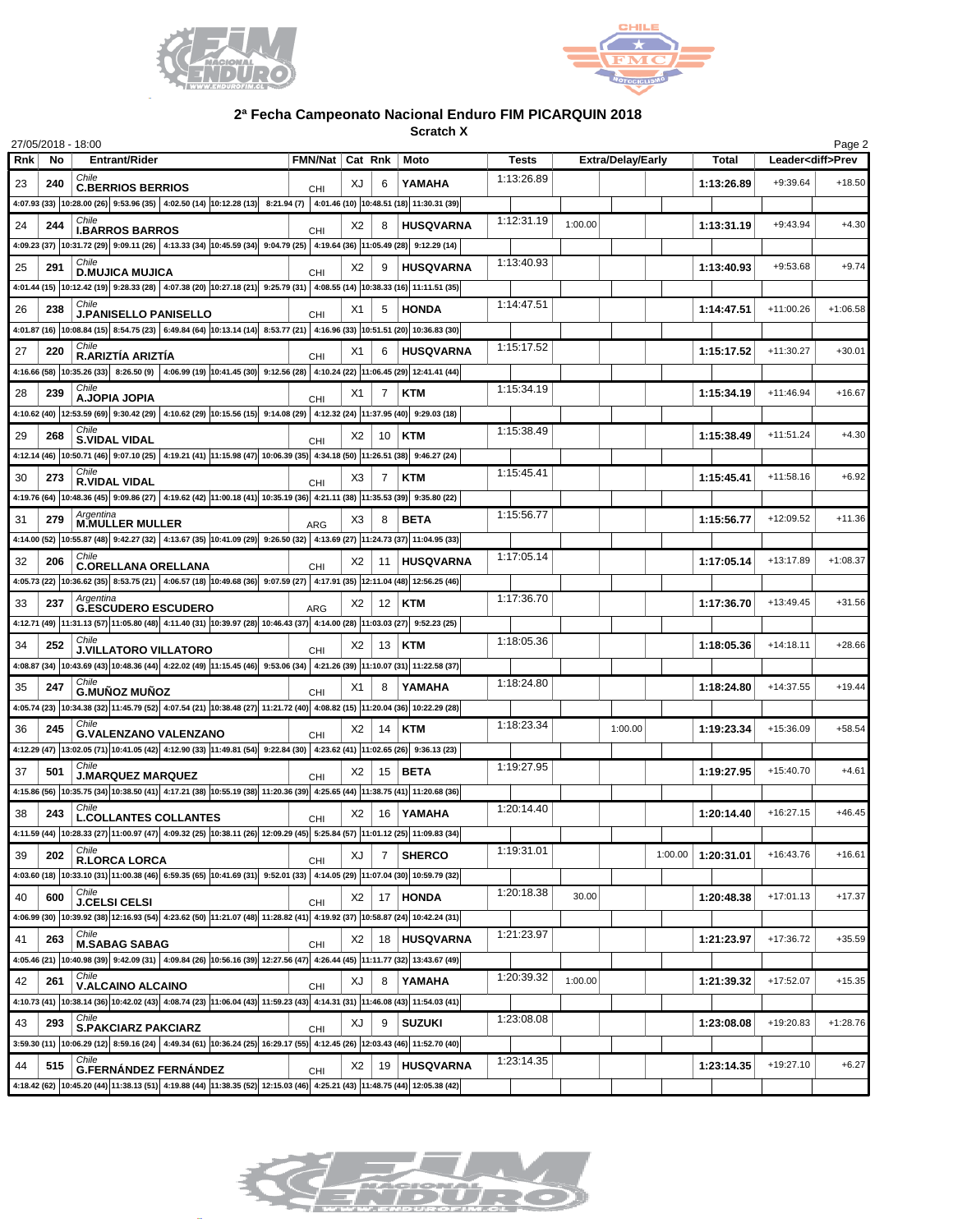



**Scratch X**

|     |     | 27/05/2018 - 18:00                                                                                                                                                                                                                                                                                                      |                   |    |                |                  |              |         |                          |         |              |             | Page 2                   |
|-----|-----|-------------------------------------------------------------------------------------------------------------------------------------------------------------------------------------------------------------------------------------------------------------------------------------------------------------------------|-------------------|----|----------------|------------------|--------------|---------|--------------------------|---------|--------------|-------------|--------------------------|
| Rnk | No  | <b>Entrant/Rider</b>                                                                                                                                                                                                                                                                                                    | FMN/Nat   Cat Rnk |    |                | Moto             | <b>Tests</b> |         | <b>Extra/Delay/Early</b> |         | <b>Total</b> |             | Leader <diff>Prev</diff> |
| 23  | 240 | Chile<br><b>C.BERRIOS BERRIOS</b>                                                                                                                                                                                                                                                                                       | CHI               | XJ | 6              | YAMAHA           | 1:13:26.89   |         |                          |         | 1:13:26.89   | $+9:39.64$  | $+18.50$                 |
|     |     | 4:07.93 (33) $ 10:28.00(26) $ 9:53.96 (35) 4:02.50 (14) 10:12.28 (13) 8:21.94 (7) 4:01.46 (10) 10:48.51 (18) 11:30.31 (39)                                                                                                                                                                                              |                   |    |                |                  |              |         |                          |         |              |             |                          |
| 24  | 244 | Chile<br><b>I.BARROS BARROS</b>                                                                                                                                                                                                                                                                                         | <b>CHI</b>        | X2 | 8              | <b>HUSQVARNA</b> | 1:12:31.19   | 1:00.00 |                          |         | 1:13:31.19   | $+9:43.94$  | $+4.30$                  |
|     |     | 4:09.23 (37) 10:31.72 (29) 9:09.11 (26) 4:13.33 (34) 10:45.59 (34) 9:04.79 (25) 4:19.64 (36) 11:05.49 (28) 9:12.29 (14)                                                                                                                                                                                                 |                   |    |                |                  |              |         |                          |         |              |             |                          |
| 25  | 291 | Chile<br><b>D.MUJICA MUJICA</b>                                                                                                                                                                                                                                                                                         | <b>CHI</b>        | X2 | 9              | <b>HUSQVARNA</b> | 1:13:40.93   |         |                          |         | 1:13:40.93   | $+9:53.68$  | $+9.74$                  |
|     |     | 4:01.44 (15) 10:12.42 (19) 9:28.33 (28) 4:07.38 (20) 10:27.18 (21) 9:25.79 (31) 4:08.55 (14) 10:38.33 (16) 11:11.51 (35)                                                                                                                                                                                                |                   |    |                |                  |              |         |                          |         |              |             |                          |
| 26  | 238 | Chile<br><b>J.PANISELLO PANISELLO</b>                                                                                                                                                                                                                                                                                   | <b>CHI</b>        | X1 | 5              | <b>HONDA</b>     | 1:14:47.51   |         |                          |         | 1:14:47.51   | $+11:00.26$ | $+1:06.58$               |
|     |     | 4:01.87 (16) 10:08.84 (15) 8:54.75 (23) 6:49.84 (64) 10:13.14 (14) 8:53.77 (21) 4:16.96 (33) 10:51.51 (20) 10:36.83 (30)                                                                                                                                                                                                |                   |    |                |                  |              |         |                          |         |              |             |                          |
| 27  | 220 | Chile<br>R.ARIZTÍA ARIZTÍA                                                                                                                                                                                                                                                                                              | <b>CHI</b>        | X1 | 6              | <b>HUSQVARNA</b> | 1:15:17.52   |         |                          |         | 1:15:17.52   | $+11:30.27$ | $+30.01$                 |
|     |     | 4:16.66 (58) 10:35.26 (33) 8:26.50 (9) 4:06.99 (19) 10:41.45 (30) 9:12.56 (28) 4:10.24 (22) 11:06.45 (29) 12:41.41 (44)                                                                                                                                                                                                 |                   |    |                |                  |              |         |                          |         |              |             |                          |
| 28  | 239 | Chile<br>A.JOPIA JOPIA                                                                                                                                                                                                                                                                                                  | <b>CHI</b>        | X1 |                | <b>KTM</b>       | 1:15:34.19   |         |                          |         | 1:15:34.19   | $+11:46.94$ | $+16.67$                 |
|     |     | 4:10.62 (40) 12:53.59 (69) 9:30.42 (29) 4:10.62 (29) 10:15.56 (15) 9:14.08 (29) 4:12.32 (24) 11:37.95 (40) 9:29.03 (18)                                                                                                                                                                                                 |                   |    |                |                  |              |         |                          |         |              |             |                          |
| 29  | 268 | Chile<br><b>S.VIDAL VIDAL</b>                                                                                                                                                                                                                                                                                           |                   | X2 |                | 10   KTM         | 1:15:38.49   |         |                          |         | 1:15:38.49   | $+11:51.24$ | $+4.30$                  |
|     |     | 4:12.14 (46) 10:50.71 (46) 9:07.10 (25) 4:19.21 (41) 11:15.98 (47) 10:06.39 (35) 4:34.18 (50) 11:26.51 (38) 9:46.27 (24)                                                                                                                                                                                                | <b>CHI</b>        |    |                |                  |              |         |                          |         |              |             |                          |
| 30  | 273 | Chile                                                                                                                                                                                                                                                                                                                   |                   | X3 | 7              | <b>KTM</b>       | 1:15:45.41   |         |                          |         | 1:15:45.41   | $+11:58.16$ | $+6.92$                  |
|     |     | <b>R.VIDAL VIDAL</b><br>4:19.76 (64) 10:48.36 (45) 9:09.86 (27) 4:19.62 (42) 11:00.18 (41) 10:35.19 (36) 4:21.11 (38) 11:35.53 (39) 9:35.80 (22)                                                                                                                                                                        | CHI               |    |                |                  |              |         |                          |         |              |             |                          |
| 31  | 279 | Argentina                                                                                                                                                                                                                                                                                                               |                   | X3 |                | <b>BETA</b>      | 1:15:56.77   |         |                          |         | 1:15:56.77   | +12:09.52   | $+11.36$                 |
|     |     | <b>M.MULLER MULLER</b><br>4:14.00 (52)  10:55.87 (48)  9:42.27 (32)   4:13.67 (35)  10:41.09 (29)  9:26.50 (32)   4:13.69 (27)  11:24.73 (37)  11:04.95 (33)                                                                                                                                                            | <b>ARG</b>        |    |                |                  |              |         |                          |         |              |             |                          |
| 32  | 206 | Chile                                                                                                                                                                                                                                                                                                                   |                   | X2 |                | 11 HUSQVARNA     | 1:17:05.14   |         |                          |         | 1:17:05.14   | $+13:17.89$ | $+1:08.37$               |
|     |     | <b>C.ORELLANA ORELLANA</b><br>4:05.73 (22) 10:36.62 (35) 8:53.75 (21) 4:06.57 (18) 10:49.68 (36) 9:07.59 (27) 4:17.91 (35) 12:11.04 (48) 12:56.25 (46)                                                                                                                                                                  | <b>CHI</b>        |    |                |                  |              |         |                          |         |              |             |                          |
|     |     | Argentina                                                                                                                                                                                                                                                                                                               |                   |    |                |                  | 1:17:36.70   |         |                          |         |              |             |                          |
| 33  | 237 | <b>G.ESCUDERO ESCUDERO</b>                                                                                                                                                                                                                                                                                              | <b>ARG</b>        | X2 |                | $12$ KTM         |              |         |                          |         | 1:17:36.70   | $+13:49.45$ | $+31.56$                 |
|     |     | 4:12.71 (49) 11:31.13 (57) 11:05.80 (48) 4:11.40 (31) 10:39.97 (28) 10:46.43 (37) 4:14.00 (28) 11:03.03 (27) 9:52.23 (25)<br>Chile                                                                                                                                                                                      |                   |    |                |                  | 1:18:05.36   |         |                          |         |              |             |                          |
| 34  | 252 | <b>J.VILLATORO VILLATORO</b>                                                                                                                                                                                                                                                                                            | <b>CHI</b>        | X2 |                | $13$ KTM         |              |         |                          |         | 1:18:05.36   | $+14:18.11$ | $+28.66$                 |
|     |     | 4:08.87 (34) 10:43.69 (43) 10:48.36 (44) 4:22.02 (49) 11:15.45 (46) 9:53.06 (34) 4:21.26 (39) 11:10.07 (31) 11:22.58 (37)<br>Chile                                                                                                                                                                                      |                   |    |                |                  | 1:18:24.80   |         |                          |         |              |             |                          |
| 35  | 247 | <b>G.MUÑOZ MUÑOZ</b>                                                                                                                                                                                                                                                                                                    | <b>CHI</b>        | X1 | 8              | YAMAHA           |              |         |                          |         | 1:18:24.80   | $+14:37.55$ | $+19.44$                 |
|     |     | 4:05.74 (23) 10:34.38 (32) 11:45.79 (52) 4:07.54 (21) 10:38.48 (27) 11:21.72 (40) 4:08.82 (15) 11:20.04 (36) 10:22.29 (28)<br>Chile                                                                                                                                                                                     |                   |    |                |                  |              |         |                          |         |              |             |                          |
| 36  | 245 | <b>G.VALENZANO VALENZANO</b>                                                                                                                                                                                                                                                                                            | <b>CHI</b>        | X2 | 14             | <b>KTM</b>       | 1:18:23.34   |         | 1:00.00                  |         | 1:19:23.34   | +15:36.09   | $+58.54$                 |
|     |     | 4:12.29 (47) 13:02.05 (71) 10:41.05 (42) 4:12.90 (33) 11:49.81 (54) 9:22.84 (30) 4:23.62 (41) 11:02.65 (26) 9:36.13 (23)                                                                                                                                                                                                |                   |    |                |                  |              |         |                          |         |              |             |                          |
| 37  | 501 | Chile<br><b>J.MARQUEZ MARQUEZ</b>                                                                                                                                                                                                                                                                                       | <b>CHI</b>        | X2 |                | $15$ BETA        | 1:19:27.95   |         |                          |         | 1:19:27.95   | $+15:40.70$ | $+4.61$                  |
|     |     | 4:15.86 (56) 10:35.75 (34) 10:38.50 (41) 4:17.21 (38) 10:55.19 (38) 11:20.36 (39) 4:25.65 (44) 11:38.75 (41) 11:20.68 (36)                                                                                                                                                                                              |                   |    |                |                  |              |         |                          |         |              |             |                          |
| 38  | 243 | Chile<br><b>L.COLLANTES COLLANTES</b>                                                                                                                                                                                                                                                                                   | CHI               | X2 |                | 16   YAMAHA      | 1:20:14.40   |         |                          |         | 1:20:14.40   | $+16:27.15$ | $+46.45$                 |
|     |     | $4:11.59(44) \hspace{0.08cm} \left  10:28.33\ (27) \hspace{0.08cm} \right  11:00.97(47) \hspace{0.08cm} \left  4:09.32\ (25) \hspace{0.08cm} \right  10:38.11(26) \hspace{0.08cm} \left  12:09.29\ (45) \right  \hspace{0.08cm} 5:25.84\ (57) \hspace{0.08cm} \left  11:01.12\ (25) \right  11:09.83\ (34) \hspace{0.0$ |                   |    |                |                  |              |         |                          |         |              |             |                          |
| 39  | 202 | Chile<br><b>R.LORCA LORCA</b>                                                                                                                                                                                                                                                                                           | CHI               | XJ | $\overline{7}$ | <b>SHERCO</b>    | 1:19:31.01   |         |                          | 1:00.00 | 1:20:31.01   | $+16:43.76$ | $+16.61$                 |
|     |     | 4:03.60 (18) 10:33.10 (31) 11:00.38 (46) 6:59.35 (65) 10:41.69 (31) 9:52.01 (33) 4:14.05 (29) 11:07.04 (30) 10:59.79 (32)                                                                                                                                                                                               |                   |    |                |                  |              |         |                          |         |              |             |                          |
| 40  | 600 | Chile<br><b>J.CELSI CELSI</b>                                                                                                                                                                                                                                                                                           | CHI               | X2 |                | 17 HONDA         | 1:20:18.38   | 30.00   |                          |         | 1:20:48.38   | $+17:01.13$ | $+17.37$                 |
|     |     | 4:06.99 (30) 10:39.92 (38) 12:16.93 (54) 4:23.62 (50) 11:21.07 (48) 11:28.82 (41) 4:19.92 (37) 10:58.87 (24) 10:42.24 (31)                                                                                                                                                                                              |                   |    |                |                  |              |         |                          |         |              |             |                          |
| 41  | 263 | Chile<br><b>M.SABAG SABAG</b>                                                                                                                                                                                                                                                                                           | CHI               | X2 |                | 18   HUSQVARNA   | 1:21:23.97   |         |                          |         | 1:21:23.97   | $+17:36.72$ | $+35.59$                 |
|     |     | 4.05.46 (21) 10:40.98 (39) 9:42.09 (31) 4:09.84 (26) 10:56.16 (39) 12:27.56 (47) 4:26.44 (45) 11:11.77 (32) 13:43.67 (49)                                                                                                                                                                                               |                   |    |                |                  |              |         |                          |         |              |             |                          |
| 42  | 261 | Chile<br><b>V.ALCAINO ALCAINO</b>                                                                                                                                                                                                                                                                                       | CHI               | XJ | 8              | YAMAHA           | 1:20:39.32   | 1:00.00 |                          |         | 1:21:39.32   | $+17:52.07$ | $+15.35$                 |
|     |     | 4:10.73 (41) 10:38.14 (36) 10:42.02 (43) 4:08.74 (23) 11:06.04 (43) 11:59.23 (43) 4:14.31 (31) 11:46.08 (43) 11:54.03 (41)                                                                                                                                                                                              |                   |    |                |                  |              |         |                          |         |              |             |                          |
| 43  | 293 | Chile                                                                                                                                                                                                                                                                                                                   |                   | ΧJ | 9              | <b>SUZUKI</b>    | 1:23:08.08   |         |                          |         | 1:23:08.08   | $+19:20.83$ | $+1:28.76$               |
|     |     | <b>S.PAKCIARZ PAKCIARZ</b><br>3:59.30 (11) 10:06.29 (12) 8:59.16 (24) 4:49.34 (61) 10:36.24 (25) 16:29.17 (55) 4:12.45 (26) 12:03.43 (46) 11:52.70 (40)                                                                                                                                                                 | CHI               |    |                |                  |              |         |                          |         |              |             |                          |
| 44  | 515 | Chile                                                                                                                                                                                                                                                                                                                   |                   | X2 |                | 19 HUSQVARNA     | 1:23:14.35   |         |                          |         | 1:23:14.35   | $+19:27.10$ | $+6.27$                  |
|     |     | <b>G.FERNÁNDEZ FERNÁNDEZ</b><br>4:18.42 (62) 10:45.20 (44) 1:38.13 (51) 4:19.88 (44) 11:38.35 (52) 12:15.03 (46) 4:25.21 (43) 11:48.75 (44) 12:05.38 (42)                                                                                                                                                               | CHI               |    |                |                  |              |         |                          |         |              |             |                          |
|     |     |                                                                                                                                                                                                                                                                                                                         |                   |    |                |                  |              |         |                          |         |              |             |                          |

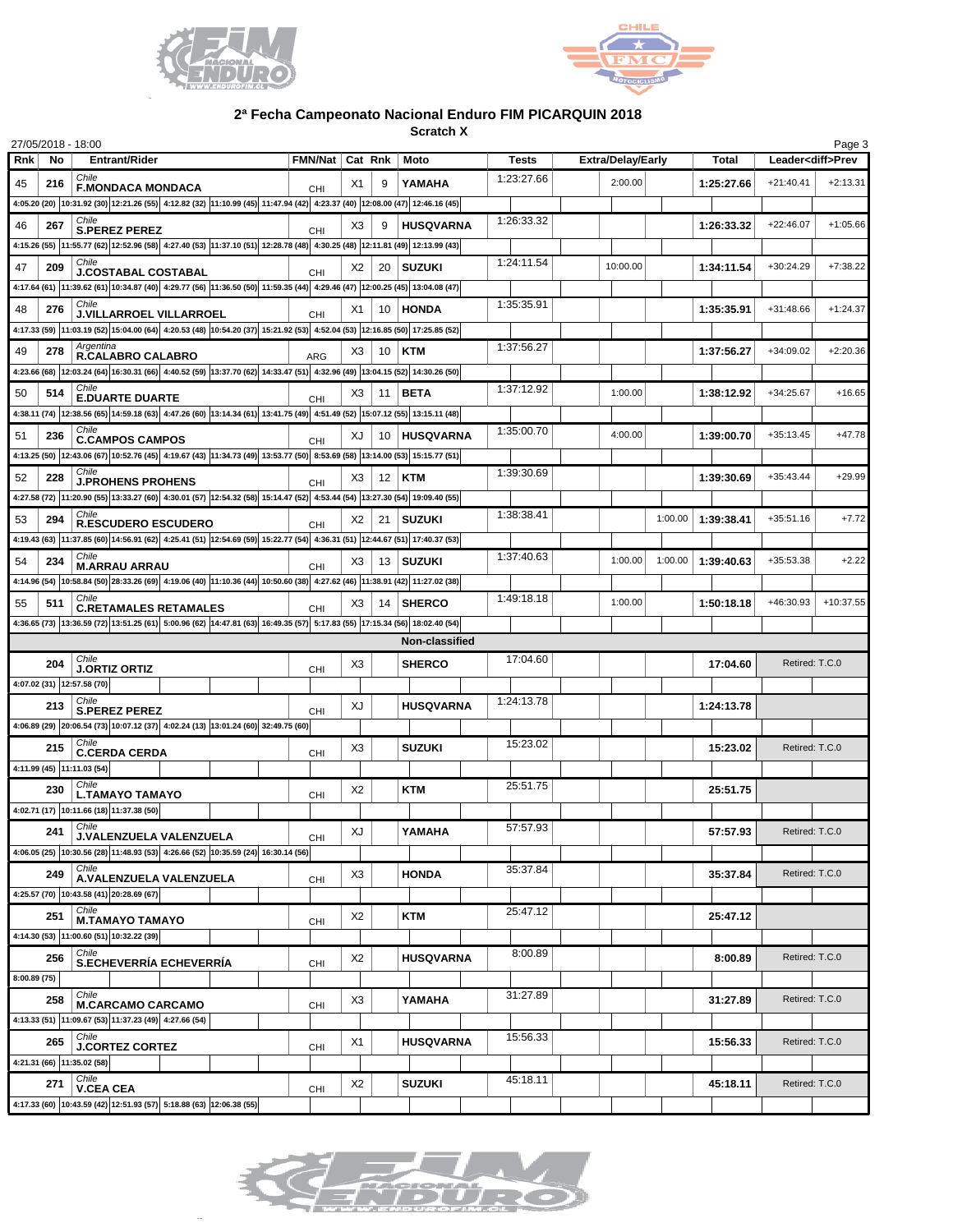



**Scratch X**

| 27/05/2018 - 18:00 |                            |                                                                                                                                                          |  |                 |                |                 |                  |              |                          |         |              |                | Page 3                   |
|--------------------|----------------------------|----------------------------------------------------------------------------------------------------------------------------------------------------------|--|-----------------|----------------|-----------------|------------------|--------------|--------------------------|---------|--------------|----------------|--------------------------|
| <b>Rnk</b>         | No                         | Entrant/Rider                                                                                                                                            |  | FMN/Nat Cat Rnk |                |                 | Moto             | <b>Tests</b> | <b>Extra/Delay/Early</b> |         | <b>Total</b> |                | Leader <diff>Prev</diff> |
| 45                 | 216                        | Chile<br><b>F.MONDACA MONDACA</b>                                                                                                                        |  | CHI             | X1             | 9               | YAMAHA           | 1:23:27.66   | 2:00.00                  |         | 1:25:27.66   | $+21:40.41$    | $+2:13.31$               |
|                    |                            | 4:05.20 (20) 10:31.92 (30) 12:21.26 (55) 4:12.82 (32) 11:10.99 (45) 11:47.94 (42) 4:23.37 (40) 12:08.00 (47) 12:46.16 (45)                               |  |                 |                |                 |                  |              |                          |         |              |                |                          |
| 46                 | 267                        | <b>S.PEREZ PEREZ</b>                                                                                                                                     |  |                 | X3             |                 | <b>HUSQVARNA</b> | 1:26:33.32   |                          |         | 1:26:33.32   | $+22:46.07$    | $+1:05.66$               |
|                    |                            | 4:15.26 (55) 11:55.77 (62) 12:52.96 (58) 4:27.40 (53) 11:37.10 (51) 12:28.78 (48) 4:30.25 (48) 12:11.81 (49) 12:13.99 (43)                               |  | CHI             |                |                 |                  |              |                          |         |              |                |                          |
| 47                 | 209                        | Chile                                                                                                                                                    |  |                 | X2             | 20 <sub>1</sub> | <b>SUZUKI</b>    | 1:24:11.54   | 10:00.00                 |         | 1:34:11.54   | +30:24.29      | $+7:38.22$               |
|                    |                            | <b>J.COSTABAL COSTABAL</b><br>4:17.64 (61) 11:39.62 (61) 10:34.87 (40) 4:29.77 (56) 11:36.50 (50) 11:59.35 (44) 4:29.46 (47) 12:00.25 (45) 13:04.08 (47) |  | CHI             |                |                 |                  |              |                          |         |              |                |                          |
| 48                 | 276                        | Chile                                                                                                                                                    |  |                 | X1             |                 | 10 HONDA         | 1:35:35.91   |                          |         | 1:35:35.91   | +31:48.66      | $+1:24.37$               |
|                    |                            | J.VILLARROEL VILLARROEL<br>4:17.33 (59) 11:03.19 (52) 15:04.00 (64) 4:20.53 (48) 10:54.20 (37) 15:21.92 (53) 4:52.04 (53) 12:16.85 (50) 17:25.85 (52)    |  | CHI             |                |                 |                  |              |                          |         |              |                |                          |
|                    |                            | Argentina                                                                                                                                                |  |                 |                |                 |                  | 1:37:56.27   |                          |         |              |                |                          |
| 49                 | 278                        | R.CALABRO CALABRO                                                                                                                                        |  | <b>ARG</b>      | X3             | 10              | KTM              |              |                          |         | 1:37:56.27   | +34:09.02      | $+2:20.36$               |
|                    |                            | 4:23.66 (68) 12:03.24 (64) 16:30.31 (66) 4:40.52 (59) 13:37.70 (62) 14:33.47 (51) 4:32.96 (49) 13:04.15 (52) 14:30.26 (50)                               |  |                 |                |                 |                  | 1:37:12.92   |                          |         |              |                |                          |
| 50                 | 514                        | <b>E.DUARTE DUARTE</b>                                                                                                                                   |  | CHI             | X3             | 11              | <b>BETA</b>      |              | 1:00.00                  |         | 1:38:12.92   | $+34:25.67$    | $+16.65$                 |
|                    |                            | 4:38.11 (74) 12:38.56 (65) 14:59.18 (63) 4:47.26 (60) 13:14.34 (61) 13:41.75 (49) 4:51.49 (52) 15:07.12 (55) 13:15.11 (48)                               |  |                 |                |                 |                  |              |                          |         |              |                |                          |
| 51                 | 236                        | Chile<br><b>C.CAMPOS CAMPOS</b>                                                                                                                          |  | CHI             | XJ             |                 | 10   HUSQVARNA   | 1:35:00.70   | 4:00.00                  |         | 1:39:00.70   | $+35:13.45$    | $+47.78$                 |
|                    |                            | 4:13.25 (50) 12:43.06 (67) 10:52.76 (45) 4:19.67 (43) 11:34.73 (49) 13:53.77 (50) 8:53.69 (58) 13:14.00 (53) 15:15.77 (51)                               |  |                 |                |                 |                  |              |                          |         |              |                |                          |
| 52                 | 228                        | Chile<br><b>J.PROHENS PROHENS</b>                                                                                                                        |  | CHI             | X3             |                 | $12$ KTM         | 1:39:30.69   |                          |         | 1:39:30.69   | $+35:43.44$    | $+29.99$                 |
|                    |                            | 4:27.58 (72) 11:20.90 (55) 13:33.27 (60) 4:30.01 (57) 12:54.32 (58) 15:14.47 (52) 4:53.44 (54) 13:27.30 (54) 19:09.40 (55)                               |  |                 |                |                 |                  |              |                          |         |              |                |                          |
| 53                 | 294                        | Chile<br><b>R.ESCUDERO ESCUDERO</b>                                                                                                                      |  | CHI             | X2             | 21              | <b>SUZUKI</b>    | 1:38:38.41   |                          | 1:00.00 | 1:39:38.41   | $+35:51.16$    | $+7.72$                  |
|                    |                            | 4:19.43 (63) 11:37.85 (60) 14:56.91 (62) 4:25.41 (51) 12:54.69 (59) 15:22.77 (54) 4:36.31 (51) 12:44.67 (51) 17:40.37 (53)                               |  |                 |                |                 |                  |              |                          |         |              |                |                          |
| 54                 | 234                        | <b>M.ARRAU ARRAU</b>                                                                                                                                     |  | CHI             | X3             |                 | 13   SUZUKI      | 1:37:40.63   | 1:00.00                  | 1:00.00 | 1:39:40.63   | +35:53.38      | $+2.22$                  |
|                    |                            | 4:14.96 (54) 10:58.84 (50) 28:33.26 (69) 4:19.06 (40) 11:10.36 (44) 10:50.60 (38) 4:27.62 (46) 11:38.91 (42) 11:27.02 (38)                               |  |                 |                |                 |                  |              |                          |         |              |                |                          |
| 55                 | 511                        | Chile<br><b>C.RETAMALES RETAMALES</b>                                                                                                                    |  | CHI             | X3             | 14 <sup>1</sup> | <b>SHERCO</b>    | 1:49:18.18   | 1:00.00                  |         | 1:50:18.18   | +46:30.93      | $+10:37.55$              |
|                    |                            | 4:36.65 (73) 13:36.59 (72) 13:51.25 (61) 5:00.96 (62) 14:47.81 (63) 16:49.35 (57) 5:17.83 (55) 17:15.34 (56) 18:02.40 (54)                               |  |                 |                |                 |                  |              |                          |         |              |                |                          |
|                    |                            |                                                                                                                                                          |  |                 |                |                 | Non-classified   |              |                          |         |              |                |                          |
|                    | 204                        | Chile<br><b>J.ORTIZ ORTIZ</b>                                                                                                                            |  |                 | X3             |                 | <b>SHERCO</b>    | 17:04.60     |                          |         | 17:04.60     | Retired: T.C.0 |                          |
|                    | 4:07.02 (31) 12:57.58 (70) |                                                                                                                                                          |  | CHI             |                |                 |                  |              |                          |         |              |                |                          |
|                    | 213                        | Chile                                                                                                                                                    |  |                 | XJ             |                 | <b>HUSQVARNA</b> | 1:24:13.78   |                          |         | 1:24:13.78   |                |                          |
|                    |                            | <b>S.PEREZ PEREZ</b><br>4:06.89 (29) 20:06.54 (73) 10:07.12 (37) 4:02.24 (13) 13:01.24 (60) 32:49.75 (60)                                                |  | CHI             |                |                 |                  |              |                          |         |              |                |                          |
|                    | 215                        | Chile                                                                                                                                                    |  |                 | X <sub>3</sub> |                 | <b>SUZUKI</b>    | 15:23.02     |                          |         | 15:23.02     | Retired: T.C.0 |                          |
|                    | 4:11.99 (45) 11:11.03 (54) | <b>C.CERDA CERDA</b>                                                                                                                                     |  | CHI             |                |                 |                  |              |                          |         |              |                |                          |
|                    |                            | Chile                                                                                                                                                    |  |                 |                |                 |                  | 25:51.75     |                          |         |              |                |                          |
|                    | 230                        | <b>L.TAMAYO TAMAYO</b>                                                                                                                                   |  | CHI             | X <sub>2</sub> |                 | <b>KTM</b>       |              |                          |         | 25:51.75     |                |                          |
|                    |                            | 4:02.71 (17) 10:11.66 (18) 11:37.38 (50)<br>Chile                                                                                                        |  |                 |                |                 |                  | 57:57.93     |                          |         |              |                |                          |
|                    | 241                        | J.VALENZUELA VALENZUELA                                                                                                                                  |  | CHI             | XJ             |                 | YAMAHA           |              |                          |         | 57:57.93     | Retired: T.C.0 |                          |
|                    |                            | 4:06.05 (25) 10:30.56 (28) 11:48.93 (53) 4:26.66 (52) 10:35.59 (24) 16:30.14 (56)<br>Chile                                                               |  |                 |                |                 |                  | 35:37.84     |                          |         |              |                |                          |
|                    | 249                        | A.VALENZUELA VALENZUELA                                                                                                                                  |  | CHI             | X3             |                 | <b>HONDA</b>     |              |                          |         | 35:37.84     | Retired: T.C.0 |                          |
|                    |                            | 4:25.57 (70) 10:43.58 (41) 20:28.69 (67)                                                                                                                 |  |                 |                |                 |                  |              |                          |         |              |                |                          |
|                    | 251                        | Chile<br><b>M.TAMAYO TAMAYO</b>                                                                                                                          |  | CHI             | X <sub>2</sub> |                 | KTM              | 25:47.12     |                          |         | 25:47.12     |                |                          |
|                    |                            | 4:14.30 (53) 11:00.60 (51) 10:32.22 (39)                                                                                                                 |  |                 |                |                 |                  |              |                          |         |              |                |                          |
|                    | 256                        | Chile<br>S.ECHEVERRÍA ECHEVERRÍA                                                                                                                         |  | CHI             | X <sub>2</sub> |                 | HUSQVARNA        | 8:00.89      |                          |         | 8:00.89      | Retired: T.C.0 |                          |
| 8:00.89(75)        |                            |                                                                                                                                                          |  |                 |                |                 |                  |              |                          |         |              |                |                          |
|                    | 258                        | Chile<br><b>M.CARCAMO CARCAMO</b>                                                                                                                        |  | CHI             | X3             |                 | YAMAHA           | 31:27.89     |                          |         | 31:27.89     | Retired: T.C.0 |                          |
|                    |                            | 4:13.33 (51) 11:09.67 (53) 11:37.23 (49) 4:27.66 (54)                                                                                                    |  |                 |                |                 |                  |              |                          |         |              |                |                          |
|                    | 265                        | Chile<br><b>J.CORTEZ CORTEZ</b>                                                                                                                          |  |                 | X1             |                 | HUSQVARNA        | 15:56.33     |                          |         | 15:56.33     | Retired: T.C.0 |                          |
|                    | 4:21.31 (66) 11:35.02 (58) |                                                                                                                                                          |  | CHI             |                |                 |                  |              |                          |         |              |                |                          |
|                    | 271                        | Chile                                                                                                                                                    |  |                 | X2             |                 | <b>SUZUKI</b>    | 45:18.11     |                          |         | 45:18.11     | Retired: T.C.0 |                          |
|                    |                            | <b>V.CEA CEA</b><br>4:17.33 (60) 10:43.59 (42) 12:51.93 (57) 5:18.88 (63) 12:06.38 (55)                                                                  |  | CHI             |                |                 |                  |              |                          |         |              |                |                          |
|                    |                            |                                                                                                                                                          |  |                 |                |                 |                  |              |                          |         |              |                |                          |